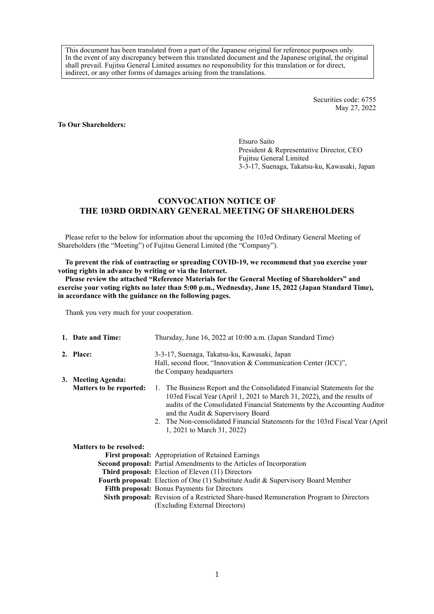This document has been translated from a part of the Japanese original for reference purposes only. In the event of any discrepancy between this translated document and the Japanese original, the original shall prevail. Fujitsu General Limited assumes no responsibility for this translation or for direct, indirect, or any other forms of damages arising from the translations.

> Securities code: 6755 May 27, 2022

### **To Our Shareholders:**

Etsuro Saito President & Representative Director, CEO Fujitsu General Limited 3-3-17, Suenaga, Takatsu-ku, Kawasaki, Japan

# **CONVOCATION NOTICE OF THE 103RD ORDINARY GENERAL MEETING OF SHAREHOLDERS**

Please refer to the below for information about the upcoming the 103rd Ordinary General Meeting of Shareholders (the "Meeting") of Fujitsu General Limited (the "Company").

**To prevent the risk of contracting or spreading COVID-19, we recommend that you exercise your voting rights in advance by writing or via the Internet.**

**Please review the attached "Reference Materials for the General Meeting of Shareholders" and exercise your voting rights no later than 5:00 p.m., Wednesday, June 15, 2022 (Japan Standard Time), in accordance with the guidance on the following pages.**

Thank you very much for your cooperation.

| 1. Date and Time:              | Thursday, June 16, 2022 at 10:00 a.m. (Japan Standard Time)                                                                                                                                                                                                                                                                                                                          |  |  |  |  |  |
|--------------------------------|--------------------------------------------------------------------------------------------------------------------------------------------------------------------------------------------------------------------------------------------------------------------------------------------------------------------------------------------------------------------------------------|--|--|--|--|--|
| 2. Place:                      | 3-3-17, Suenaga, Takatsu-ku, Kawasaki, Japan<br>Hall, second floor, "Innovation & Communication Center (ICC)",<br>the Company headquarters                                                                                                                                                                                                                                           |  |  |  |  |  |
| 3. Meeting Agenda:             |                                                                                                                                                                                                                                                                                                                                                                                      |  |  |  |  |  |
| <b>Matters to be reported:</b> | 1. The Business Report and the Consolidated Financial Statements for the<br>103rd Fiscal Year (April 1, 2021 to March 31, 2022), and the results of<br>audits of the Consolidated Financial Statements by the Accounting Auditor<br>and the Audit & Supervisory Board<br>2. The Non-consolidated Financial Statements for the 103rd Fiscal Year (April<br>1, 2021 to March 31, 2022) |  |  |  |  |  |
| <b>Matters to be resolved:</b> |                                                                                                                                                                                                                                                                                                                                                                                      |  |  |  |  |  |
|                                | <b>First proposal:</b> Appropriation of Retained Earnings                                                                                                                                                                                                                                                                                                                            |  |  |  |  |  |
|                                | <b>Second proposal:</b> Partial Amendments to the Articles of Incorporation                                                                                                                                                                                                                                                                                                          |  |  |  |  |  |
|                                | Third proposal: Election of Eleven (11) Directors                                                                                                                                                                                                                                                                                                                                    |  |  |  |  |  |
|                                | <b>Fourth proposal:</b> Election of One (1) Substitute Audit & Supervisory Board Member                                                                                                                                                                                                                                                                                              |  |  |  |  |  |
|                                | <b>Fifth proposal:</b> Bonus Payments for Directors                                                                                                                                                                                                                                                                                                                                  |  |  |  |  |  |
|                                | <b>Sixth proposal:</b> Revision of a Restricted Share-based Remuneration Program to Directors                                                                                                                                                                                                                                                                                        |  |  |  |  |  |
|                                | (Excluding External Directors)                                                                                                                                                                                                                                                                                                                                                       |  |  |  |  |  |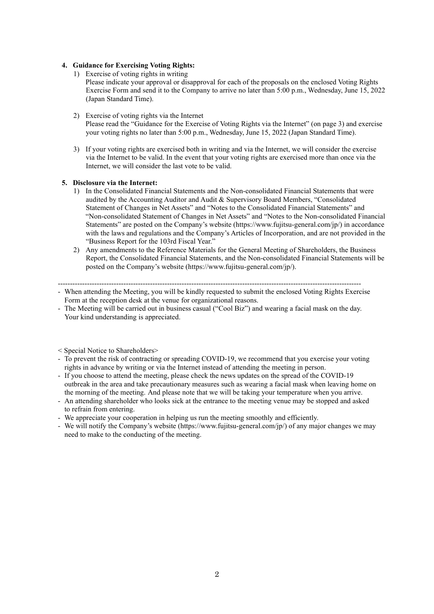## **4. Guidance for Exercising Voting Rights:**

1) Exercise of voting rights in writing

Please indicate your approval or disapproval for each of the proposals on the enclosed Voting Rights Exercise Form and send it to the Company to arrive no later than 5:00 p.m., Wednesday, June 15, 2022 (Japan Standard Time).

- 2) Exercise of voting rights via the Internet Please read the "Guidance for the Exercise of Voting Rights via the Internet" (on page 3) and exercise your voting rights no later than 5:00 p.m., Wednesday, June 15, 2022 (Japan Standard Time).
- 3) If your voting rights are exercised both in writing and via the Internet, we will consider the exercise via the Internet to be valid. In the event that your voting rights are exercised more than once via the Internet, we will consider the last vote to be valid.

# **5. Disclosure via the Internet:**

- 1) In the Consolidated Financial Statements and the Non-consolidated Financial Statements that were audited by the Accounting Auditor and Audit & Supervisory Board Members, "Consolidated Statement of Changes in Net Assets" and "Notes to the Consolidated Financial Statements" and "Non-consolidated Statement of Changes in Net Assets" and "Notes to the Non-consolidated Financial Statements" are posted on the Company's website (https://www.fujitsu-general.com/jp/) in accordance with the laws and regulations and the Company's Articles of Incorporation, and are not provided in the "Business Report for the 103rd Fiscal Year."
- 2) Any amendments to the Reference Materials for the General Meeting of Shareholders, the Business Report, the Consolidated Financial Statements, and the Non-consolidated Financial Statements will be posted on the Company's website (https://www.fujitsu-general.com/jp/).

-----------------------------------------------------------------------------------------------------------------------------

- When attending the Meeting, you will be kindly requested to submit the enclosed Voting Rights Exercise Form at the reception desk at the venue for organizational reasons.
- The Meeting will be carried out in business casual ("Cool Biz") and wearing a facial mask on the day. Your kind understanding is appreciated.
- < Special Notice to Shareholders>
- To prevent the risk of contracting or spreading COVID-19, we recommend that you exercise your voting rights in advance by writing or via the Internet instead of attending the meeting in person.
- If you choose to attend the meeting, please check the news updates on the spread of the COVID-19 outbreak in the area and take precautionary measures such as wearing a facial mask when leaving home on the morning of the meeting. And please note that we will be taking your temperature when you arrive.
- An attending shareholder who looks sick at the entrance to the meeting venue may be stopped and asked to refrain from entering.
- We appreciate your cooperation in helping us run the meeting smoothly and efficiently.
- We will notify the Company's website (https://www.fujitsu-general.com/jp/) of any major changes we may need to make to the conducting of the meeting.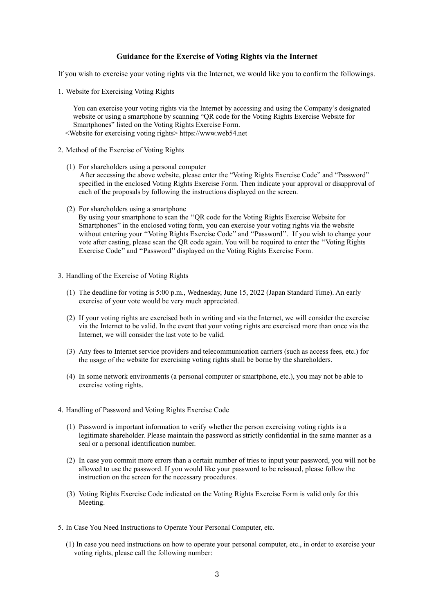# **Guidance for the Exercise of Voting Rights via the Internet**

If you wish to exercise your voting rights via the Internet, we would like you to confirm the followings.

1. Website for Exercising Voting Rights

You can exercise your voting rights via the Internet by accessing and using the Company's designated website or using a smartphone by scanning "QR code for the Voting Rights Exercise Website for Smartphones" listed on the Voting Rights Exercise Form. <Website for exercising voting rights> https://www.web54.net

- 2. Method of the Exercise of Voting Rights
	- (1) For shareholders using a personal computer After accessing the above website, please enter the "Voting Rights Exercise Code" and "Password" specified in the enclosed Voting Rights Exercise Form. Then indicate your approval or disapproval of each of the proposals by following the instructions displayed on the screen.
	- (2) For shareholders using a smartphone

By using your smartphone to scan the ''QR code for the Voting Rights Exercise Website for Smartphones'' in the enclosed voting form, you can exercise your voting rights via the website without entering your ''Voting Rights Exercise Code'' and ''Password''. If you wish to change your vote after casting, please scan the QR code again. You will be required to enter the ''Voting Rights Exercise Code'' and ''Password'' displayed on the Voting Rights Exercise Form.

- 3. Handling of the Exercise of Voting Rights
	- (1) The deadline for voting is 5:00 p.m., Wednesday, June 15, 2022 (Japan Standard Time). An early exercise of your vote would be very much appreciated.
	- (2) If your voting rights are exercised both in writing and via the Internet, we will consider the exercise via the Internet to be valid. In the event that your voting rights are exercised more than once via the Internet, we will consider the last vote to be valid.
	- (3) Any fees to Internet service providers and telecommunication carriers (such as access fees, etc.) for the usage of the website for exercising voting rights shall be borne by the shareholders.
	- (4) In some network environments (a personal computer or smartphone, etc.), you may not be able to exercise voting rights.
- 4. Handling of Password and Voting Rights Exercise Code
	- (1) Password is important information to verify whether the person exercising voting rights is a legitimate shareholder. Please maintain the password as strictly confidential in the same manner as a seal or a personal identification number.
	- (2) In case you commit more errors than a certain number of tries to input your password, you will not be allowed to use the password. If you would like your password to be reissued, please follow the instruction on the screen for the necessary procedures.
	- (3) Voting Rights Exercise Code indicated on the Voting Rights Exercise Form is valid only for this Meeting.
- 5. In Case You Need Instructions to Operate Your Personal Computer, etc.
	- (1) In case you need instructions on how to operate your personal computer, etc., in order to exercise your voting rights, please call the following number: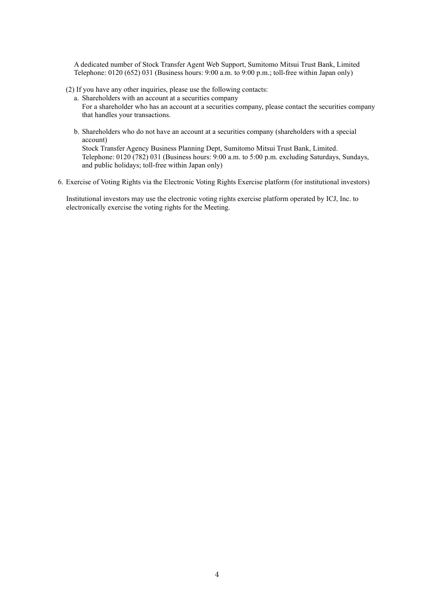A dedicated number of Stock Transfer Agent Web Support, Sumitomo Mitsui Trust Bank, Limited Telephone: 0120 (652) 031 (Business hours: 9:00 a.m. to 9:00 p.m.; toll-free within Japan only)

(2) If you have any other inquiries, please use the following contacts:

a. Shareholders with an account at a securities company For a shareholder who has an account at a securities company, please contact the securities company that handles your transactions.

b. Shareholders who do not have an account at a securities company (shareholders with a special account)

Stock Transfer Agency Business Planning Dept, Sumitomo Mitsui Trust Bank, Limited. Telephone: 0120 (782) 031 (Business hours: 9:00 a.m. to 5:00 p.m. excluding Saturdays, Sundays, and public holidays; toll-free within Japan only)

6. Exercise of Voting Rights via the Electronic Voting Rights Exercise platform (for institutional investors)

Institutional investors may use the electronic voting rights exercise platform operated by ICJ, Inc. to electronically exercise the voting rights for the Meeting.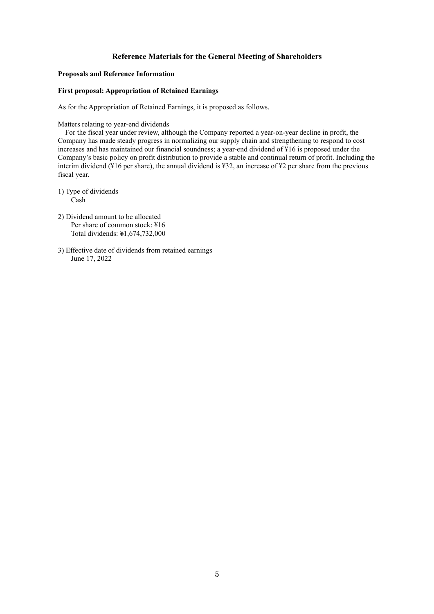# **Reference Materials for the General Meeting of Shareholders**

### **Proposals and Reference Information**

## **First proposal: Appropriation of Retained Earnings**

As for the Appropriation of Retained Earnings, it is proposed as follows.

Matters relating to year-end dividends

For the fiscal year under review, although the Company reported a year-on-year decline in profit, the Company has made steady progress in normalizing our supply chain and strengthening to respond to cost increases and has maintained our financial soundness; a year-end dividend of ¥16 is proposed under the Company's basic policy on profit distribution to provide a stable and continual return of profit. Including the interim dividend (¥16 per share), the annual dividend is ¥32, an increase of ¥2 per share from the previous fiscal year.

1) Type of dividends Cash

- 2) Dividend amount to be allocated Per share of common stock: ¥16 Total dividends: ¥1,674,732,000
- 3) Effective date of dividends from retained earnings June 17, 2022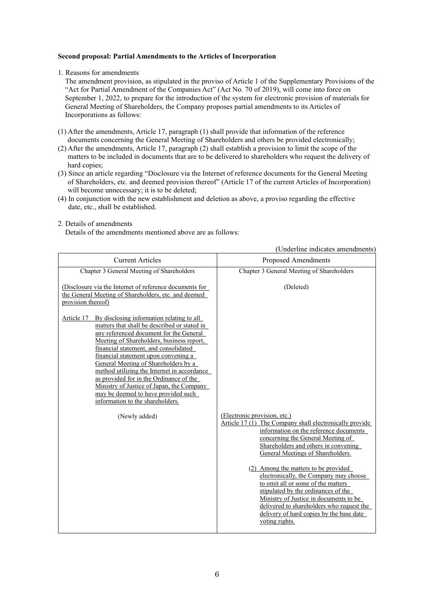### **Second proposal: Partial Amendments to the Articles of Incorporation**

#### 1. Reasons for amendments

The amendment provision, as stipulated in the proviso of Article 1 of the Supplementary Provisions of the "Act for Partial Amendment of the Companies Act" (Act No. 70 of 2019), will come into force on September 1, 2022, to prepare for the introduction of the system for electronic provision of materials for General Meeting of Shareholders, the Company proposes partial amendments to its Articles of Incorporations as follows:

- (1) After the amendments, Article 17, paragraph (1) shall provide that information of the reference documents concerning the General Meeting of Shareholders and others be provided electronically;
- (2) After the amendments, Article 17, paragraph (2) shall establish a provision to limit the scope of the matters to be included in documents that are to be delivered to shareholders who request the delivery of hard copies;
- (3) Since an article regarding "Disclosure via the Internet of reference documents for the General Meeting of Shareholders, etc. and deemed provision thereof" (Article 17 of the current Articles of Incorporation) will become unnecessary; it is to be deleted;
- (4) In conjunction with the new establishment and deletion as above, a proviso regarding the effective date, etc., shall be established.

#### 2. Details of amendments

Details of the amendments mentioned above are as follows:

|                                                                                                                                                                                                                                                                                                                                                                                                                                                                                               | Onderline indicates amendments                                                                                                                                                                                                                                                                                                                                                                                                                                                                                                                                          |
|-----------------------------------------------------------------------------------------------------------------------------------------------------------------------------------------------------------------------------------------------------------------------------------------------------------------------------------------------------------------------------------------------------------------------------------------------------------------------------------------------|-------------------------------------------------------------------------------------------------------------------------------------------------------------------------------------------------------------------------------------------------------------------------------------------------------------------------------------------------------------------------------------------------------------------------------------------------------------------------------------------------------------------------------------------------------------------------|
| <b>Current Articles</b>                                                                                                                                                                                                                                                                                                                                                                                                                                                                       | <b>Proposed Amendments</b>                                                                                                                                                                                                                                                                                                                                                                                                                                                                                                                                              |
| Chapter 3 General Meeting of Shareholders                                                                                                                                                                                                                                                                                                                                                                                                                                                     | Chapter 3 General Meeting of Shareholders                                                                                                                                                                                                                                                                                                                                                                                                                                                                                                                               |
| (Disclosure via the Internet of reference documents for<br>the General Meeting of Shareholders, etc. and deemed<br>provision thereof)<br>By disclosing information relating to all                                                                                                                                                                                                                                                                                                            | (Deleted)                                                                                                                                                                                                                                                                                                                                                                                                                                                                                                                                                               |
| Article 17<br>matters that shall be described or stated in<br>any referenced document for the General<br>Meeting of Shareholders, business report,<br>financial statement, and consolidated<br>financial statement upon convening a<br>General Meeting of Shareholders by a<br>method utilizing the Internet in accordance<br>as provided for in the Ordinance of the<br>Ministry of Justice of Japan, the Company<br>may be deemed to have provided such<br>information to the shareholders. |                                                                                                                                                                                                                                                                                                                                                                                                                                                                                                                                                                         |
| (Newly added)                                                                                                                                                                                                                                                                                                                                                                                                                                                                                 | (Electronic provision, etc.)<br>Article 17 (1) The Company shall electronically provide<br>information on the reference documents<br>concerning the General Meeting of<br>Shareholders and others in convening<br>General Meetings of Shareholders.<br>(2) Among the matters to be provided<br>electronically, the Company may choose<br>to omit all or some of the matters<br>stipulated by the ordinances of the<br>Ministry of Justice in documents to be<br>delivered to shareholders who request the<br>delivery of hard copies by the base date<br>voting rights. |

(Underline indicates amendments)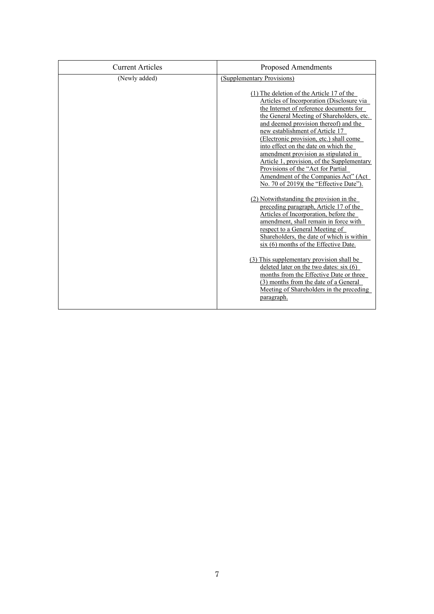| <b>Current Articles</b> | Proposed Amendments                                                                                                                                                                                                                                                                                                                                                                                                                                                                                                                                                                                                                                                                                                                                                                                                                                                                                                                                                                                                                          |
|-------------------------|----------------------------------------------------------------------------------------------------------------------------------------------------------------------------------------------------------------------------------------------------------------------------------------------------------------------------------------------------------------------------------------------------------------------------------------------------------------------------------------------------------------------------------------------------------------------------------------------------------------------------------------------------------------------------------------------------------------------------------------------------------------------------------------------------------------------------------------------------------------------------------------------------------------------------------------------------------------------------------------------------------------------------------------------|
| (Newly added)           | (Supplementary Provisions)                                                                                                                                                                                                                                                                                                                                                                                                                                                                                                                                                                                                                                                                                                                                                                                                                                                                                                                                                                                                                   |
|                         | $(1)$ The deletion of the Article 17 of the<br>Articles of Incorporation (Disclosure via<br>the Internet of reference documents for<br>the General Meeting of Shareholders, etc.<br>and deemed provision thereof) and the<br>new establishment of Article 17<br>(Electronic provision, etc.) shall come<br>into effect on the date on which the<br>amendment provision as stipulated in<br>Article 1, provision, of the Supplementary<br>Provisions of the "Act for Partial<br>Amendment of the Companies Act" (Act<br>No. 70 of 2019)( the "Effective Date").<br>(2) Notwithstanding the provision in the<br>preceding paragraph, Article 17 of the<br>Articles of Incorporation, before the<br>amendment, shall remain in force with<br>respect to a General Meeting of<br>Shareholders, the date of which is within<br>six (6) months of the Effective Date.<br>(3) This supplementary provision shall be<br>deleted later on the two dates: $six(6)$<br>months from the Effective Date or three<br>(3) months from the date of a General |
|                         | Meeting of Shareholders in the preceding<br>paragraph.                                                                                                                                                                                                                                                                                                                                                                                                                                                                                                                                                                                                                                                                                                                                                                                                                                                                                                                                                                                       |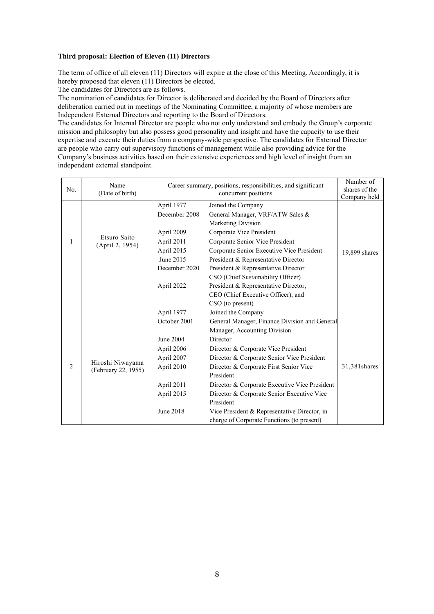# **Third proposal: Election of Eleven (11) Directors**

The term of office of all eleven (11) Directors will expire at the close of this Meeting. Accordingly, it is hereby proposed that eleven (11) Directors be elected.

The candidates for Directors are as follows.

The nomination of candidates for Director is deliberated and decided by the Board of Directors after deliberation carried out in meetings of the Nominating Committee, a majority of whose members are Independent External Directors and reporting to the Board of Directors.

The candidates for Internal Director are people who not only understand and embody the Group's corporate mission and philosophy but also possess good personality and insight and have the capacity to use their expertise and execute their duties from a company-wide perspective. The candidates for External Director are people who carry out supervisory functions of management while also providing advice for the Company's business activities based on their extensive experiences and high level of insight from an independent external standpoint.

| No. | Name<br>(Date of birth)                 | Career summary, positions, responsibilities, and significant                                                               | Number of<br>shares of the<br>Company held                                                                                                                                                                                                                                                                                                                                                                                                                            |               |  |  |
|-----|-----------------------------------------|----------------------------------------------------------------------------------------------------------------------------|-----------------------------------------------------------------------------------------------------------------------------------------------------------------------------------------------------------------------------------------------------------------------------------------------------------------------------------------------------------------------------------------------------------------------------------------------------------------------|---------------|--|--|
|     |                                         | April 1977<br>December 2008<br>April 2009                                                                                  | Joined the Company<br>General Manager, VRF/ATW Sales &<br>Marketing Division<br>Corporate Vice President                                                                                                                                                                                                                                                                                                                                                              |               |  |  |
| 1   | Etsuro Saito<br>(April 2, 1954)         | April 2011<br>April 2015<br>June 2015<br>December 2020                                                                     | Corporate Senior Vice President<br>Corporate Senior Executive Vice President<br>President & Representative Director<br>President & Representative Director<br>CSO (Chief Sustainability Officer)                                                                                                                                                                                                                                                                      | 19,899 shares |  |  |
|     |                                         | April 2022                                                                                                                 | President & Representative Director,<br>CEO (Chief Executive Officer), and<br>CSO (to present)                                                                                                                                                                                                                                                                                                                                                                        |               |  |  |
| 2   | Hiroshi Niwayama<br>(February 22, 1955) | April 1977<br>October 2001<br>June 2004<br>April 2006<br>April 2007<br>April 2010<br>April 2011<br>April 2015<br>June 2018 | Joined the Company<br>General Manager, Finance Division and General<br>Manager, Accounting Division<br>Director<br>Director & Corporate Vice President<br>Director & Corporate Senior Vice President<br>Director & Corporate First Senior Vice<br>President<br>Director & Corporate Executive Vice President<br>Director & Corporate Senior Executive Vice<br>President<br>Vice President & Representative Director, in<br>charge of Corporate Functions (to present) | 31,381 shares |  |  |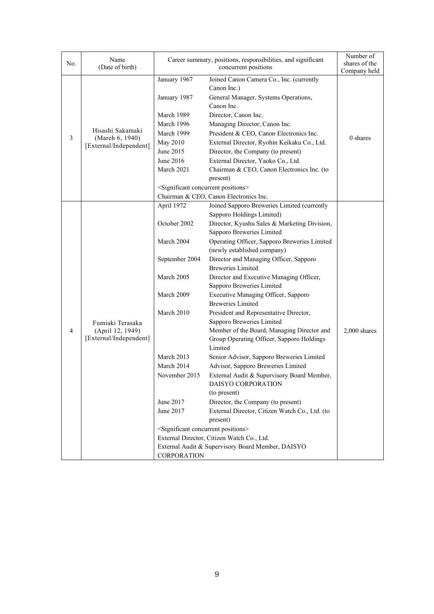| No. | Name<br>(Date of birth)                                        | Career summary, positions, responsibilities, and significant                                                                                                                                                                                                                                                                                                                                                                                                                                                                                                                                                                                  | Number of<br>shares of the                                                                                                                                                                                                                                                                                                                                                                                                                                                                                                                                                                                                                                                                                                                                                                                                                                                                                     |                            |
|-----|----------------------------------------------------------------|-----------------------------------------------------------------------------------------------------------------------------------------------------------------------------------------------------------------------------------------------------------------------------------------------------------------------------------------------------------------------------------------------------------------------------------------------------------------------------------------------------------------------------------------------------------------------------------------------------------------------------------------------|----------------------------------------------------------------------------------------------------------------------------------------------------------------------------------------------------------------------------------------------------------------------------------------------------------------------------------------------------------------------------------------------------------------------------------------------------------------------------------------------------------------------------------------------------------------------------------------------------------------------------------------------------------------------------------------------------------------------------------------------------------------------------------------------------------------------------------------------------------------------------------------------------------------|----------------------------|
| 3   | Hisashi Sakamaki<br>(March 6, 1940)<br>[External/Independent]  | January 1967<br>Joined Canon Camera Co., Inc. (currently<br>Canon Inc.)<br>January 1987<br>General Manager, Systems Operations,<br>Canon Inc.<br>Director, Canon Inc.<br>March 1989<br>Managing Director, Canon Inc.<br>March 1996<br>March 1999<br>President & CEO, Canon Electronics Inc.<br>External Director, Ryohin Keikaku Co., Ltd.<br>May 2010<br>June 2015<br>Director, the Company (to present)<br>June 2016<br>External Director, Yaoko Co., Ltd.<br>March 2021<br>Chairman & CEO, Canon Electronics Inc. (to<br>present)<br><significant concurrent="" positions=""><br/>Chairman &amp; CEO, Canon Electronics Inc.</significant> |                                                                                                                                                                                                                                                                                                                                                                                                                                                                                                                                                                                                                                                                                                                                                                                                                                                                                                                | Company held<br>$0$ shares |
| 4   | Fumiaki Terasaka<br>(April 12, 1949)<br>[External/Independent] | April 1972<br>October 2002<br>March 2004<br>September 2004<br>March 2005<br>March 2009<br>March 2010<br>March 2013<br>March 2014<br>November 2015<br>June 2017<br>June 2017<br><significant concurrent="" positions=""></significant>                                                                                                                                                                                                                                                                                                                                                                                                         | Joined Sapporo Breweries Limited (currently<br>Sapporo Holdings Limited)<br>Director, Kyushu Sales & Marketing Division,<br>Sapporo Breweries Limited<br>Operating Officer, Sapporo Breweries Limited<br>(newly established company)<br>Director and Managing Officer, Sapporo<br><b>Breweries Limited</b><br>Director and Executive Managing Officer,<br>Sapporo Breweries Limited<br>Executive Managing Officer, Sapporo<br><b>Breweries Limited</b><br>President and Representative Director,<br>Sapporo Breweries Limited<br>Member of the Board, Managing Director and<br>Group Operating Officer, Sapporo Holdings<br>Limited<br>Senior Advisor, Sapporo Breweries Limited<br>Advisor, Sapporo Breweries Limited<br>External Audit & Supervisory Board Member,<br>DAISYO CORPORATION<br>(to present)<br>Director, the Company (to present)<br>External Director, Citizen Watch Co., Ltd. (to<br>present) | 2,000 shares               |
|     |                                                                | CORPORATION                                                                                                                                                                                                                                                                                                                                                                                                                                                                                                                                                                                                                                   | External Director, Citizen Watch Co., Ltd.<br>External Audit & Supervisory Board Member, DAISYO                                                                                                                                                                                                                                                                                                                                                                                                                                                                                                                                                                                                                                                                                                                                                                                                                |                            |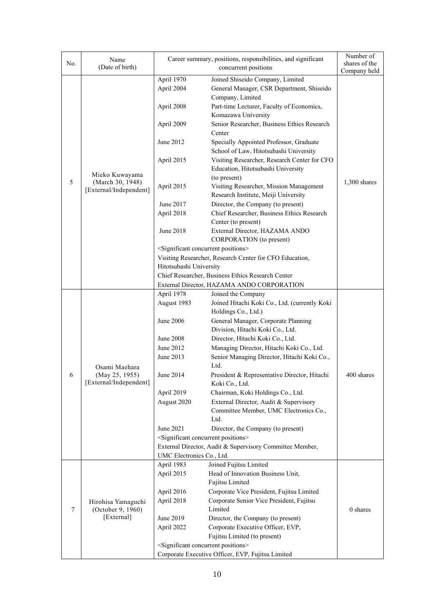|     | Name                                                      | Career summary, positions, responsibilities, and significant | Number of                                                |                |  |
|-----|-----------------------------------------------------------|--------------------------------------------------------------|----------------------------------------------------------|----------------|--|
| No. | (Date of birth)                                           |                                                              | concurrent positions                                     | shares of the  |  |
|     |                                                           | April 1970                                                   | Joined Shiseido Company, Limited                         | Company held   |  |
|     |                                                           | April 2004                                                   | General Manager, CSR Department, Shiseido                |                |  |
|     |                                                           |                                                              | Company, Limited                                         |                |  |
|     |                                                           | April 2008                                                   | Part-time Lecturer, Faculty of Economics,                |                |  |
|     |                                                           |                                                              | Komazawa University                                      |                |  |
|     |                                                           | April 2009                                                   | Senior Researcher, Business Ethics Research              |                |  |
|     |                                                           |                                                              | Center                                                   |                |  |
|     |                                                           | June 2012                                                    | Specially Appointed Professor, Graduate                  |                |  |
|     |                                                           |                                                              | School of Law, Hitotsubashi University                   |                |  |
|     |                                                           | April 2015                                                   | Visiting Researcher, Research Center for CFO             |                |  |
|     |                                                           |                                                              | Education, Hitotsubashi University                       |                |  |
|     | Mieko Kuwayama                                            |                                                              | (to present)                                             |                |  |
| 5   | (March 30, 1948)                                          | April 2015                                                   | Visiting Researcher, Mission Management                  | $1,300$ shares |  |
|     | [External/Independent]                                    |                                                              | Research Institute, Meiji University                     |                |  |
|     |                                                           | June 2017                                                    | Director, the Company (to present)                       |                |  |
|     |                                                           | April 2018                                                   | Chief Researcher, Business Ethics Research               |                |  |
|     |                                                           |                                                              | Center (to present)                                      |                |  |
|     |                                                           | June 2018                                                    | External Director, HAZAMA ANDO                           |                |  |
|     |                                                           |                                                              | CORPORATION (to present)                                 |                |  |
|     |                                                           |                                                              | <significant concurrent="" positions=""></significant>   |                |  |
|     |                                                           |                                                              | Visiting Researcher, Research Center for CFO Education,  |                |  |
|     |                                                           | Hitotsubashi University                                      |                                                          |                |  |
|     |                                                           |                                                              | Chief Researcher, Business Ethics Research Center        |                |  |
|     |                                                           |                                                              | External Director, HAZAMA ANDO CORPORATION               |                |  |
|     |                                                           | April 1978                                                   | Joined the Company                                       |                |  |
|     |                                                           | August 1983                                                  | Joined Hitachi Koki Co., Ltd. (currently Koki            |                |  |
|     |                                                           |                                                              | Holdings Co., Ltd.)                                      |                |  |
|     |                                                           | June 2006                                                    | General Manager, Corporate Planning                      |                |  |
|     |                                                           |                                                              | Division, Hitachi Koki Co., Ltd.                         |                |  |
|     |                                                           | <b>June 2008</b>                                             | Director, Hitachi Koki Co., Ltd.                         |                |  |
|     |                                                           | June 2012                                                    | Managing Director, Hitachi Koki Co., Ltd.                |                |  |
|     | Osami Maehara<br>(May 25, 1955)<br>[External/Independent] | June 2013                                                    | Senior Managing Director, Hitachi Koki Co.,              |                |  |
|     |                                                           |                                                              | Ltd.                                                     |                |  |
| 6   |                                                           | June 2014                                                    | President & Representative Director, Hitachi             | 400 shares     |  |
|     |                                                           |                                                              | Koki Co., Ltd.                                           |                |  |
|     |                                                           | April 2019                                                   | Chairman, Koki Holdings Co., Ltd.                        |                |  |
|     |                                                           | August 2020                                                  | External Director, Audit & Supervisory                   |                |  |
|     |                                                           |                                                              | Committee Member, UMC Electronics Co.,                   |                |  |
|     |                                                           |                                                              | Ltd.                                                     |                |  |
|     |                                                           | June 2021                                                    | Director, the Company (to present)                       |                |  |
|     |                                                           |                                                              | <significant concurrent="" positions=""></significant>   |                |  |
|     |                                                           |                                                              | External Director, Audit & Supervisory Committee Member, |                |  |
|     |                                                           | UMC Electronics Co., Ltd.                                    |                                                          |                |  |
|     |                                                           | April 1983                                                   | Joined Fujitsu Limited                                   |                |  |
|     |                                                           | April 2015                                                   | Head of Innovation Business Unit,                        |                |  |
|     |                                                           |                                                              | Fujitsu Limited                                          |                |  |
|     |                                                           | April 2016                                                   | Corporate Vice President, Fujitsu Limited                |                |  |
|     | Hirohisa Yamaguchi                                        | April 2018                                                   | Corporate Senior Vice President, Fujitsu                 |                |  |
| 7   | (October 9, 1960)                                         |                                                              | Limited                                                  | 0 shares       |  |
|     | [External]                                                | June 2019                                                    | Director, the Company (to present)                       |                |  |
|     |                                                           | April 2022                                                   | Corporate Executive Officer, EVP,                        |                |  |
|     |                                                           |                                                              | Fujitsu Limited (to present)                             |                |  |
|     |                                                           |                                                              | <significant concurrent="" positions=""></significant>   |                |  |
|     |                                                           |                                                              | Corporate Executive Officer, EVP, Fujitsu Limited        |                |  |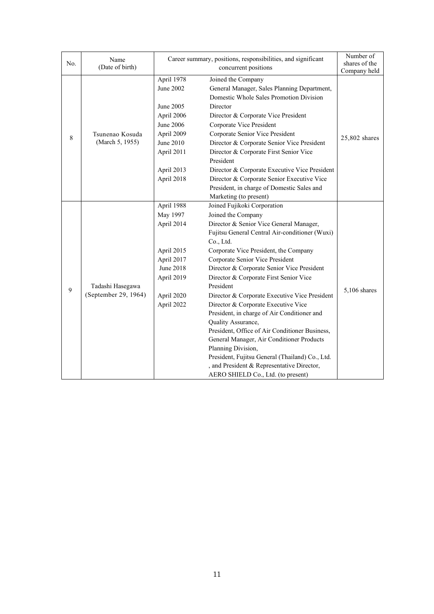| No. | Name<br>(Date of birth)                  | Career summary, positions, responsibilities, and significant                                                                         | Number of<br>shares of the                                                                                                                                                                                                                                                                                                                                                                                                                                                                                                                                                                                                                                                                                                                                                                      |                |
|-----|------------------------------------------|--------------------------------------------------------------------------------------------------------------------------------------|-------------------------------------------------------------------------------------------------------------------------------------------------------------------------------------------------------------------------------------------------------------------------------------------------------------------------------------------------------------------------------------------------------------------------------------------------------------------------------------------------------------------------------------------------------------------------------------------------------------------------------------------------------------------------------------------------------------------------------------------------------------------------------------------------|----------------|
|     |                                          |                                                                                                                                      | concurrent positions<br>Joined the Company                                                                                                                                                                                                                                                                                                                                                                                                                                                                                                                                                                                                                                                                                                                                                      | Company held   |
| 8   | Tsunenao Kosuda<br>(March 5, 1955)       | April 1978<br>June 2002<br>June 2005<br>April 2006<br>June 2006<br>April 2009<br>June 2010<br>April 2011<br>April 2013<br>April 2018 | 25,802 shares                                                                                                                                                                                                                                                                                                                                                                                                                                                                                                                                                                                                                                                                                                                                                                                   |                |
| 9   | Tadashi Hasegawa<br>(September 29, 1964) | April 1988<br>May 1997<br>April 2014<br>April 2015<br>April 2017<br><b>June 2018</b><br>April 2019<br>April 2020<br>April 2022       | Marketing (to present)<br>Joined Fujikoki Corporation<br>Joined the Company<br>Director & Senior Vice General Manager,<br>Fujitsu General Central Air-conditioner (Wuxi)<br>Co., Ltd.<br>Corporate Vice President, the Company<br>Corporate Senior Vice President<br>Director & Corporate Senior Vice President<br>Director & Corporate First Senior Vice<br>President<br>Director & Corporate Executive Vice President<br>Director & Corporate Executive Vice<br>President, in charge of Air Conditioner and<br>Quality Assurance,<br>President, Office of Air Conditioner Business,<br>General Manager, Air Conditioner Products<br>Planning Division,<br>President, Fujitsu General (Thailand) Co., Ltd.<br>, and President & Representative Director,<br>AERO SHIELD Co., Ltd. (to present) | $5,106$ shares |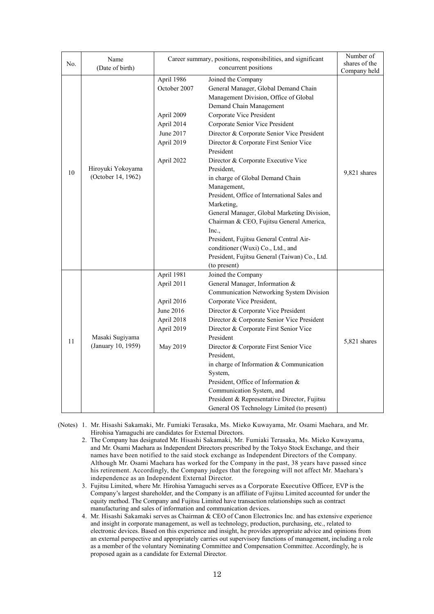| No. | Name<br>(Date of birth)                 | Career summary, positions, responsibilities, and significant                                    | Number of<br>shares of the<br>Company held                                                                                                                                                                                                                                                                                                                                                                                                                                                                                                                                                                                                                                                                                                            |              |
|-----|-----------------------------------------|-------------------------------------------------------------------------------------------------|-------------------------------------------------------------------------------------------------------------------------------------------------------------------------------------------------------------------------------------------------------------------------------------------------------------------------------------------------------------------------------------------------------------------------------------------------------------------------------------------------------------------------------------------------------------------------------------------------------------------------------------------------------------------------------------------------------------------------------------------------------|--------------|
| 10  | Hiroyuki Yokoyama<br>(October 14, 1962) | April 1986<br>October 2007<br>April 2009<br>April 2014<br>June 2017<br>April 2019<br>April 2022 | concurrent positions<br>Joined the Company<br>General Manager, Global Demand Chain<br>Management Division, Office of Global<br>Demand Chain Management<br>Corporate Vice President<br>Corporate Senior Vice President<br>Director & Corporate Senior Vice President<br>Director & Corporate First Senior Vice<br>President<br>Director & Corporate Executive Vice<br>President.<br>in charge of Global Demand Chain<br>Management,<br>President, Office of International Sales and<br>Marketing,<br>General Manager, Global Marketing Division,<br>Chairman & CEO, Fujitsu General America,<br>Inc.,<br>President, Fujitsu General Central Air-<br>conditioner (Wuxi) Co., Ltd., and<br>President, Fujitsu General (Taiwan) Co., Ltd.<br>(to present) | 9,821 shares |
| 11  | Masaki Sugiyama<br>(January 10, 1959)   | April 1981<br>April 2011<br>April 2016<br>June 2016<br>April 2018<br>April 2019<br>May 2019     | Joined the Company<br>General Manager, Information &<br>Communication Networking System Division<br>Corporate Vice President,<br>Director & Corporate Vice President<br>Director & Corporate Senior Vice President<br>Director & Corporate First Senior Vice<br>President<br>Director & Corporate First Senior Vice<br>President,<br>in charge of Information & Communication<br>System,<br>President, Office of Information &<br>Communication System, and<br>President & Representative Director, Fujitsu<br>General OS Technology Limited (to present)                                                                                                                                                                                             | 5,821 shares |

- (Notes) 1. Mr. Hisashi Sakamaki, Mr. Fumiaki Terasaka, Ms. Mieko Kuwayama, Mr. Osami Maehara, and Mr. Hirohisa Yamaguchi are candidates for External Directors.
	- 2. The Company has designated Mr. Hisashi Sakamaki, Mr. Fumiaki Terasaka, Ms. Mieko Kuwayama, and Mr. Osami Maehara as Independent Directors prescribed by the Tokyo Stock Exchange, and their names have been notified to the said stock exchange as Independent Directors of the Company. Although Mr. Osami Maehara has worked for the Company in the past, 38 years have passed since his retirement. Accordingly, the Company judges that the foregoing will not affect Mr. Maehara's independence as an Independent External Director.
	- 3. Fujitsu Limited, where Mr. Hirohisa Yamaguchi serves as a Corporate Executive Officer, EVP is the Company's largest shareholder, and the Company is an affiliate of Fujitsu Limited accounted for under the equity method. The Company and Fujitsu Limited have transaction relationships such as contract manufacturing and sales of information and communication devices.
	- 4. Mr. Hisashi Sakamaki serves as Chairman & CEO of Canon Electronics Inc. and has extensive experience and insight in corporate management, as well as technology, production, purchasing, etc., related to electronic devices. Based on this experience and insight, he provides appropriate advice and opinions from an external perspective and appropriately carries out supervisory functions of management, including a role as a member of the voluntary Nominating Committee and Compensation Committee. Accordingly, he is proposed again as a candidate for External Director.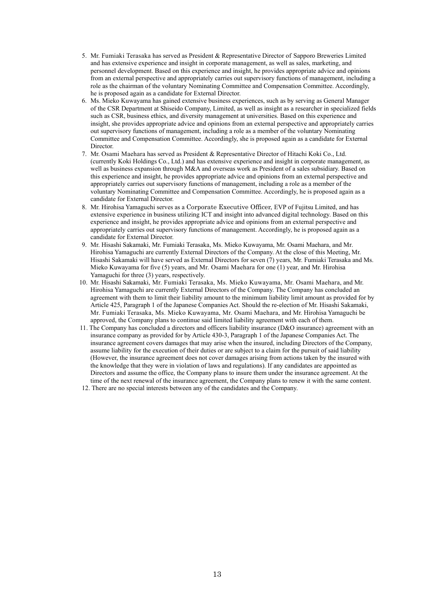- 5. Mr. Fumiaki Terasaka has served as President & Representative Director of Sapporo Breweries Limited and has extensive experience and insight in corporate management, as well as sales, marketing, and personnel development. Based on this experience and insight, he provides appropriate advice and opinions from an external perspective and appropriately carries out supervisory functions of management, including a role as the chairman of the voluntary Nominating Committee and Compensation Committee. Accordingly, he is proposed again as a candidate for External Director.
- 6. Ms. Mieko Kuwayama has gained extensive business experiences, such as by serving as General Manager of the CSR Department at Shiseido Company, Limited, as well as insight as a researcher in specialized fields such as CSR, business ethics, and diversity management at universities. Based on this experience and insight, she provides appropriate advice and opinions from an external perspective and appropriately carries out supervisory functions of management, including a role as a member of the voluntary Nominating Committee and Compensation Committee. Accordingly, she is proposed again as a candidate for External Director.
- 7. Mr. Osami Maehara has served as President & Representative Director of Hitachi Koki Co., Ltd. (currently Koki Holdings Co., Ltd.) and has extensive experience and insight in corporate management, as well as business expansion through M&A and overseas work as President of a sales subsidiary. Based on this experience and insight, he provides appropriate advice and opinions from an external perspective and appropriately carries out supervisory functions of management, including a role as a member of the voluntary Nominating Committee and Compensation Committee. Accordingly, he is proposed again as a candidate for External Director.
- 8. Mr. Hirohisa Yamaguchi serves as a Corporate Executive Officer, EVP of Fujitsu Limited, and has extensive experience in business utilizing ICT and insight into advanced digital technology. Based on this experience and insight, he provides appropriate advice and opinions from an external perspective and appropriately carries out supervisory functions of management. Accordingly, he is proposed again as a candidate for External Director.
- 9. Mr. Hisashi Sakamaki, Mr. Fumiaki Terasaka, Ms. Mieko Kuwayama, Mr. Osami Maehara, and Mr. Hirohisa Yamaguchi are currently External Directors of the Company. At the close of this Meeting, Mr. Hisashi Sakamaki will have served as External Directors for seven (7) years, Mr. Fumiaki Terasaka and Ms. Mieko Kuwayama for five (5) years, and Mr. Osami Maehara for one (1) year, and Mr. Hirohisa Yamaguchi for three (3) years, respectively.
- 10. Mr. Hisashi Sakamaki, Mr. Fumiaki Terasaka, Ms. Mieko Kuwayama, Mr. Osami Maehara, and Mr. Hirohisa Yamaguchi are currently External Directors of the Company. The Company has concluded an agreement with them to limit their liability amount to the minimum liability limit amount as provided for by Article 425, Paragraph 1 of the Japanese Companies Act. Should the re-election of Mr. Hisashi Sakamaki, Mr. Fumiaki Terasaka, Ms. Mieko Kuwayama, Mr. Osami Maehara, and Mr. Hirohisa Yamaguchi be approved, the Company plans to continue said limited liability agreement with each of them.
- 11. The Company has concluded a directors and officers liability insurance (D&O insurance) agreement with an insurance company as provided for by Article 430-3, Paragraph 1 of the Japanese Companies Act. The insurance agreement covers damages that may arise when the insured, including Directors of the Company, assume liability for the execution of their duties or are subject to a claim for the pursuit of said liability (However, the insurance agreement does not cover damages arising from actions taken by the insured with the knowledge that they were in violation of laws and regulations). If any candidates are appointed as Directors and assume the office, the Company plans to insure them under the insurance agreement. At the time of the next renewal of the insurance agreement, the Company plans to renew it with the same content.
- 12. There are no special interests between any of the candidates and the Company.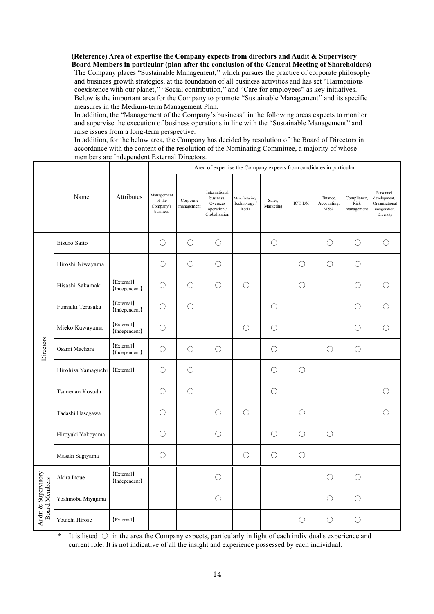**(Reference) Area of expertise the Company expects from directors and Audit & Supervisory Board Members in particular (plan after the conclusion of the General Meeting of Shareholders)** The Company places "Sustainable Management,'' which pursues the practice of corporate philosophy and business growth strategies, at the foundation of all business activities and has set "Harmonious coexistence with our planet,'' "Social contribution,'' and "Care for employees'' as key initiatives. Below is the important area for the Company to promote "Sustainable Management'' and its specific measures in the Medium-term Management Plan.

In addition, the "Management of the Company's business'' in the following areas expects to monitor and supervise the execution of business operations in line with the "Sustainable Management'' and raise issues from a long-term perspective.

In addition, for the below area, the Company has decided by resolution of the Board of Directors in accordance with the content of the resolution of the Nominating Committee, a majority of whose members are Independent External Directors.

|                                      | Name               | Attributes                  | Area of expertise the Company expects from candidates in particular |                         |                                                                        |                                       |                     |            |                                |                                   |                                                                           |
|--------------------------------------|--------------------|-----------------------------|---------------------------------------------------------------------|-------------------------|------------------------------------------------------------------------|---------------------------------------|---------------------|------------|--------------------------------|-----------------------------------|---------------------------------------------------------------------------|
|                                      |                    |                             | Management<br>of the<br>Company's<br>business                       | Corporate<br>management | International<br>business,<br>Overseas<br>operation /<br>Globalization | Manufacturing,<br>Technology /<br>R&D | Sales,<br>Marketing | ICT, DX    | Finance,<br>Accounting,<br>M&A | Compliance,<br>Risk<br>management | Personnel<br>development,<br>Organizational<br>invigoration,<br>Diversity |
|                                      | Etsuro Saito       |                             | $\bigcirc$                                                          | $\bigcirc$              | $\bigcirc$                                                             |                                       | $\bigcirc$          |            | $\bigcirc$                     | $\bigcirc$                        | $\bigcirc$                                                                |
|                                      | Hiroshi Niwayama   |                             | O                                                                   | $\bigcirc$              | O                                                                      |                                       |                     | O          | $\bigcirc$                     | $\bigcirc$                        |                                                                           |
|                                      | Hisashi Sakamaki   | [External]<br>[Independent] | $\bigcirc$                                                          | $\bigcirc$              | $\bigcirc$                                                             | $\bigcirc$                            |                     | $\bigcirc$ |                                | $\bigcirc$                        | $\bigcirc$                                                                |
|                                      | Fumiaki Terasaka   | [External]<br>[Independent] | $\bigcirc$                                                          | $\bigcirc$              |                                                                        |                                       | $\bigcirc$          |            |                                | $\bigcirc$                        | ∩                                                                         |
|                                      | Mieko Kuwayama     | [External]<br>[Independent] | $\bigcirc$                                                          |                         |                                                                        | $\bigcirc$                            | $\bigcirc$          |            |                                | $\bigcirc$                        | $\bigcirc$                                                                |
| Directors                            | Osami Maehara      | [External]<br>[Independent] | $\bigcirc$                                                          | $\bigcirc$              | $\bigcirc$                                                             |                                       | $\bigcirc$          |            | $\bigcirc$                     | $\bigcirc$                        |                                                                           |
|                                      | Hirohisa Yamaguchi | [External]                  | O                                                                   | $\bigcirc$              |                                                                        |                                       | $\bigcirc$          | $\bigcirc$ |                                |                                   |                                                                           |
|                                      | Tsunenao Kosuda    |                             | ◯                                                                   | $\bigcirc$              |                                                                        |                                       | $\bigcirc$          |            |                                |                                   | ∩                                                                         |
|                                      | Tadashi Hasegawa   |                             | $\bigcirc$                                                          |                         | $\bigcirc$                                                             | $\bigcirc$                            |                     | $\bigcirc$ |                                |                                   | $\bigcirc$                                                                |
|                                      | Hiroyuki Yokoyama  |                             | $\bigcirc$                                                          |                         | $\bigcirc$                                                             |                                       | $\bigcirc$          | $\bigcirc$ | $\bigcirc$                     |                                   |                                                                           |
|                                      | Masaki Sugiyama    |                             | $\bigcirc$                                                          |                         |                                                                        | $\bigcirc$                            | $\bigcirc$          | $\bigcirc$ |                                |                                   |                                                                           |
|                                      | Akira Inoue        | [External]<br>[Independent] |                                                                     |                         | O                                                                      |                                       |                     |            | O                              | $\bigcirc$                        |                                                                           |
| Audit & Supervisory<br>Board Members | Yoshinobu Miyajima |                             |                                                                     |                         | $\bigcirc$                                                             |                                       |                     |            | $\bigcirc$                     | $\bigcirc$                        |                                                                           |
|                                      | Youichi Hirose     | [External]                  |                                                                     |                         |                                                                        |                                       |                     | O          | ∩                              | $\bigcirc$                        |                                                                           |

It is listed  $\circ$  in the area the Company expects, particularly in light of each individual's experience and current role. It is not indicative of all the insight and experience possessed by each individual.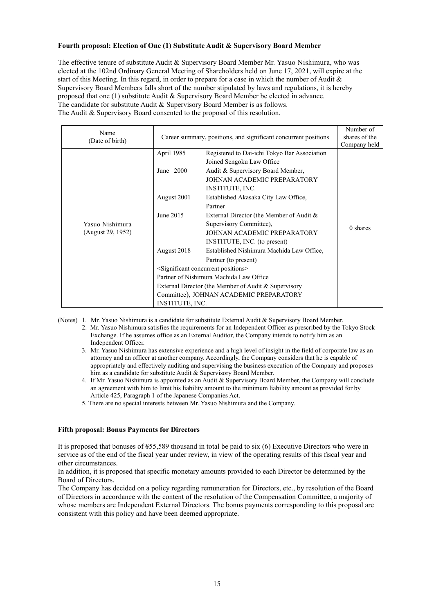# **Fourth proposal: Election of One (1) Substitute Audit & Supervisory Board Member**

The effective tenure of substitute Audit & Supervisory Board Member Mr. Yasuo Nishimura, who was elected at the 102nd Ordinary General Meeting of Shareholders held on June 17, 2021, will expire at the start of this Meeting. In this regard, in order to prepare for a case in which the number of Audit & Supervisory Board Members falls short of the number stipulated by laws and regulations, it is hereby proposed that one (1) substitute Audit & Supervisory Board Member be elected in advance. The candidate for substitute Audit & Supervisory Board Member is as follows. The Audit & Supervisory Board consented to the proposal of this resolution.

| Name<br>(Date of birth) | Career summary, positions, and significant concurrent positions |                                              | Number of<br>shares of the<br>Company held |
|-------------------------|-----------------------------------------------------------------|----------------------------------------------|--------------------------------------------|
|                         | April 1985                                                      | Registered to Dai-ichi Tokyo Bar Association |                                            |
|                         |                                                                 | Joined Sengoku Law Office                    |                                            |
|                         | June $2000$                                                     | Audit & Supervisory Board Member,            |                                            |
|                         |                                                                 | JOHNAN ACADEMIC PREPARATORY                  |                                            |
|                         |                                                                 | INSTITUTE, INC.                              |                                            |
|                         | August 2001                                                     | Established Akasaka City Law Office,         | $0$ shares                                 |
|                         |                                                                 | Partner                                      |                                            |
|                         | June 2015                                                       | External Director (the Member of Audit &     |                                            |
| Yasuo Nishimura         |                                                                 | Supervisory Committee),                      |                                            |
| (August 29, 1952)       |                                                                 | JOHNAN ACADEMIC PREPARATORY                  |                                            |
|                         |                                                                 | INSTITUTE, INC. (to present)                 |                                            |
|                         | August 2018                                                     | Established Nishimura Machida Law Office,    |                                            |
|                         |                                                                 | Partner (to present)                         |                                            |
|                         | <significant concurrent="" positions=""></significant>          |                                              |                                            |
|                         | Partner of Nishimura Machida Law Office                         |                                              |                                            |
|                         | External Director (the Member of Audit & Supervisory            |                                              |                                            |
|                         | Committee), JOHNAN ACADEMIC PREPARATORY                         |                                              |                                            |
|                         | <b>INSTITUTE, INC.</b>                                          |                                              |                                            |

(Notes) 1. Mr. Yasuo Nishimura is a candidate for substitute External Audit & Supervisory Board Member.

- 2. Mr. Yasuo Nishimura satisfies the requirements for an Independent Officer as prescribed by the Tokyo Stock Exchange. If he assumes office as an External Auditor, the Company intends to notify him as an Independent Officer.
- 3. Mr. Yasuo Nishimura has extensive experience and a high level of insight in the field of corporate law as an attorney and an officer at another company. Accordingly, the Company considers that he is capable of appropriately and effectively auditing and supervising the business execution of the Company and proposes him as a candidate for substitute Audit & Supervisory Board Member.
- 4. If Mr. Yasuo Nishimura is appointed as an Audit & Supervisory Board Member, the Company will conclude an agreement with him to limit his liability amount to the minimum liability amount as provided for by Article 425, Paragraph 1 of the Japanese Companies Act.
- 5. There are no special interests between Mr. Yasuo Nishimura and the Company.

#### **Fifth proposal: Bonus Payments for Directors**

It is proposed that bonuses of ¥55,589 thousand in total be paid to six (6) Executive Directors who were in service as of the end of the fiscal year under review, in view of the operating results of this fiscal year and other circumstances.

In addition, it is proposed that specific monetary amounts provided to each Director be determined by the Board of Directors.

The Company has decided on a policy regarding remuneration for Directors, etc., by resolution of the Board of Directors in accordance with the content of the resolution of the Compensation Committee, a majority of whose members are Independent External Directors. The bonus payments corresponding to this proposal are consistent with this policy and have been deemed appropriate.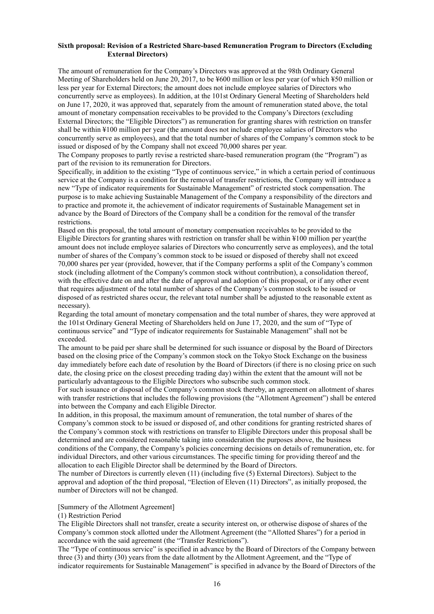### **Sixth proposal: Revision of a Restricted Share-based Remuneration Program to Directors (Excluding External Directors)**

The amount of remuneration for the Company's Directors was approved at the 98th Ordinary General Meeting of Shareholders held on June 20, 2017, to be ¥600 million or less per year (of which ¥50 million or less per year for External Directors; the amount does not include employee salaries of Directors who concurrently serve as employees). In addition, at the 101st Ordinary General Meeting of Shareholders held on June 17, 2020, it was approved that, separately from the amount of remuneration stated above, the total amount of monetary compensation receivables to be provided to the Company's Directors (excluding External Directors; the "Eligible Directors") as remuneration for granting shares with restriction on transfer shall be within ¥100 million per year (the amount does not include employee salaries of Directors who concurrently serve as employees), and that the total number of shares of the Company's common stock to be issued or disposed of by the Company shall not exceed 70,000 shares per year.

The Company proposes to partly revise a restricted share-based remuneration program (the "Program") as part of the revision to its remuneration for Directors.

Specifically, in addition to the existing "Type of continuous service," in which a certain period of continuous service at the Company is a condition for the removal of transfer restrictions, the Company will introduce a new "Type of indicator requirements for Sustainable Management" of restricted stock compensation. The purpose is to make achieving Sustainable Management of the Company a responsibility of the directors and to practice and promote it, the achievement of indicator requirements of Sustainable Management set in advance by the Board of Directors of the Company shall be a condition for the removal of the transfer restrictions.

Based on this proposal, the total amount of monetary compensation receivables to be provided to the Eligible Directors for granting shares with restriction on transfer shall be within ¥100 million per year(the amount does not include employee salaries of Directors who concurrently serve as employees), and the total number of shares of the Company's common stock to be issued or disposed of thereby shall not exceed 70,000 shares per year (provided, however, that if the Company performs a split of the Company's common stock (including allotment of the Company's common stock without contribution), a consolidation thereof, with the effective date on and after the date of approval and adoption of this proposal, or if any other event that requires adjustment of the total number of shares of the Company's common stock to be issued or disposed of as restricted shares occur, the relevant total number shall be adjusted to the reasonable extent as necessary).

Regarding the total amount of monetary compensation and the total number of shares, they were approved at the 101st Ordinary General Meeting of Shareholders held on June 17, 2020, and the sum of "Type of continuous service" and "Type of indicator requirements for Sustainable Management" shall not be exceeded.

The amount to be paid per share shall be determined for such issuance or disposal by the Board of Directors based on the closing price of the Company's common stock on the Tokyo Stock Exchange on the business day immediately before each date of resolution by the Board of Directors (if there is no closing price on such date, the closing price on the closest preceding trading day) within the extent that the amount will not be particularly advantageous to the Eligible Directors who subscribe such common stock.

For such issuance or disposal of the Company's common stock thereby, an agreement on allotment of shares with transfer restrictions that includes the following provisions (the "Allotment Agreement") shall be entered into between the Company and each Eligible Director.

In addition, in this proposal, the maximum amount of remuneration, the total number of shares of the Company's common stock to be issued or disposed of, and other conditions for granting restricted shares of the Company's common stock with restrictions on transfer to Eligible Directors under this proposal shall be determined and are considered reasonable taking into consideration the purposes above, the business conditions of the Company, the Company's policies concerning decisions on details of remuneration, etc. for individual Directors, and other various circumstances. The specific timing for providing thereof and the allocation to each Eligible Director shall be determined by the Board of Directors.

The number of Directors is currently eleven (11) (including five (5) External Directors). Subject to the approval and adoption of the third proposal, "Election of Eleven (11) Directors", as initially proposed, the number of Directors will not be changed.

#### [Summery of the Allotment Agreement]

(1) Restriction Period

The Eligible Directors shall not transfer, create a security interest on, or otherwise dispose of shares of the Company's common stock allotted under the Allotment Agreement (the "Allotted Shares") for a period in accordance with the said agreement (the "Transfer Restrictions").

The "Type of continuous service" is specified in advance by the Board of Directors of the Company between three (3) and thirty (30) years from the date allotment by the Allotment Agreement, and the "Type of indicator requirements for Sustainable Management" is specified in advance by the Board of Directors of the